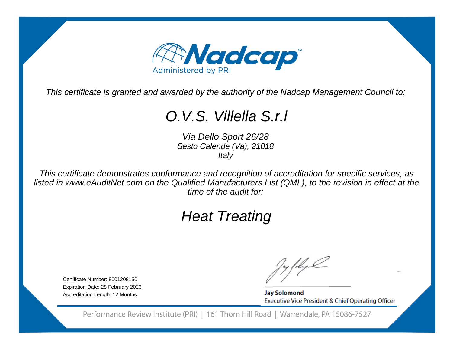

This certificate is granted and awarded by the authority of the Nadcap Management Council to:

## O.V.S. Villella S.r.l

Via Dello Sport 26/28 Sesto Calende (Va), 21018**Italy** 

This certificate demonstrates conformance and recognition of accreditation for specific services, as listed in www.eAuditNet.com on the Qualified Manufacturers List (QML), to the revision in effect at thetime of the audit for:

# Heat Treating

Certificate Number: 8001208150 Expiration Date: 28 February 2023Accreditation Length: 12 Months

**Jay Solomond** Executive Vice President & Chief Operating Officer

Performance Review Institute (PRI) | 161 Thorn Hill Road | Warrendale, PA 15086-7527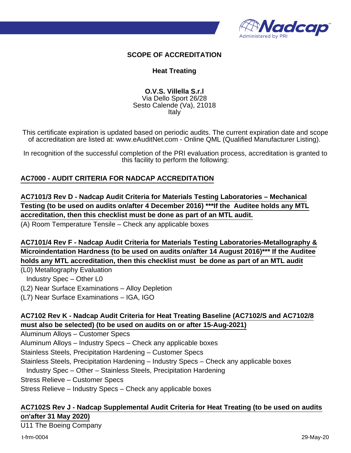

#### **SCOPE OF ACCREDITATION**

#### **Heat Treating**

#### **O.V.S. Villella S.r.l** Via Dello Sport 26/28 Sesto Calende (Va), 21018 Italy

This certificate expiration is updated based on periodic audits. The current expiration date and scope of accreditation are listed at: www.eAuditNet.com - Online QML (Qualified Manufacturer Listing).

In recognition of the successful completion of the PRI evaluation process, accreditation is granted to this facility to perform the following:

#### **AC7000 - AUDIT CRITERIA FOR NADCAP ACCREDITATION**

**AC7101/3 Rev D - Nadcap Audit Criteria for Materials Testing Laboratories – Mechanical Testing (to be used on audits on/after 4 December 2016) \*\*\*If the Auditee holds any MTL accreditation, then this checklist must be done as part of an MTL audit.**

(A) Room Temperature Tensile – Check any applicable boxes

**AC7101/4 Rev F - Nadcap Audit Criteria for Materials Testing Laboratories-Metallography & Microindentation Hardness (to be used on audits on/after 14 August 2016)\*\*\* If the Auditee holds any MTL accreditation, then this checklist must be done as part of an MTL audit**

(L0) Metallography Evaluation

Industry Spec – Other L0

(L2) Near Surface Examinations – Alloy Depletion

(L7) Near Surface Examinations – IGA, IGO

#### **AC7102 Rev K - Nadcap Audit Criteria for Heat Treating Baseline (AC7102/S and AC7102/8 must also be selected) (to be used on audits on or after 15-Aug-2021)**

Aluminum Alloys – Customer Specs

Aluminum Alloys – Industry Specs – Check any applicable boxes

Stainless Steels, Precipitation Hardening – Customer Specs

Stainless Steels, Precipitation Hardening – Industry Specs – Check any applicable boxes

Industry Spec – Other – Stainless Steels, Precipitation Hardening

Stress Relieve – Customer Specs

Stress Relieve – Industry Specs – Check any applicable boxes

#### **AC7102S Rev J - Nadcap Supplemental Audit Criteria for Heat Treating (to be used on audits on'after 31 May 2020)**

U11 The Boeing Company